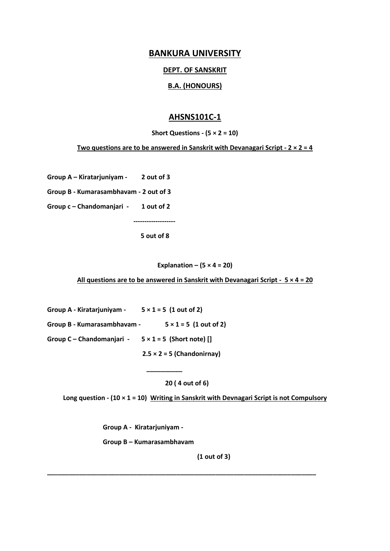# **BANKURA UNIVERSITY**

#### **DEPT. OF SANSKRIT**

### **B.A. (HONOURS)**

# **AHSNS101C-1**

**Short Questions - (5 × 2 = 10)**

**Two questions are to be answered in Sanskrit with Devanagari Script - 2 × 2 = 4**

**Group A – Kiratarjuniyam - 2 out of 3**

**Group B - Kumarasambhavam - 2 out of 3**

**Group c – Chandomanjari - 1 out of 2**

 **5 out of 8** 

 **-------------------**

**Explanation**  $(5 \times 4 = 20)$ 

**All questions are to be answered in Sanskrit with Devanagari Script - 5 × 4 = 20**

**Group A - Kiratarjuniyam - 5 × 1 = 5 (1 out of 2) Group B - Kumarasambhavam - 5 × 1 = 5 (1 out of 2)**

 **\_\_\_\_\_\_\_\_\_\_**

**Group C – Chandomanjari - 5 × 1 = 5 (Short note) []**

 **2.5 × 2 = 5 (Chandonirnay)**

 **20 ( 4 out of 6)**

**\_\_\_\_\_\_\_\_\_\_\_\_\_\_\_\_\_\_\_\_\_\_\_\_\_\_\_\_\_\_\_\_\_\_\_\_\_\_\_\_\_\_\_\_\_\_\_\_\_\_\_\_\_\_\_\_\_\_\_\_\_\_\_\_\_\_\_\_\_\_\_\_\_\_\_**

**Long question - (10 × 1 = 10) Writing in Sanskrit with Devnagari Script is not Compulsory**

**Group A - Kiratarjuniyam -**

**Group B – Kumarasambhavam** 

**(1 out of 3)**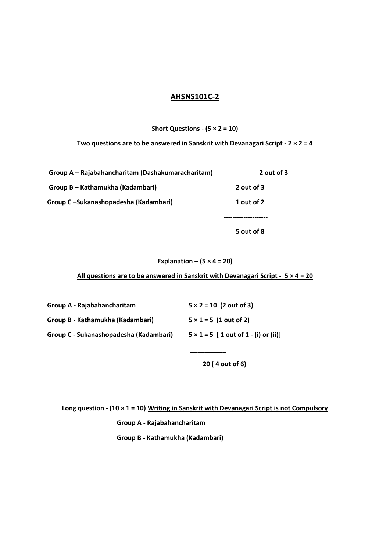# **AHSNS101C-2**

## **Short Questions - (5 × 2 = 10)**

#### **Two questions are to be answered in Sanskrit with Devanagari Script - 2 × 2 = 4**

| 2 out of 3 |
|------------|
|            |
| 1 out of 2 |
|            |
|            |

**Explanation –**  $(5 \times 4 = 20)$ 

**All questions are to be answered in Sanskrit with Devanagari Script - 5 × 4 = 20**

| Group A - Rajabahancharitam            | $5 \times 2 = 10$ (2 out of 3)               |
|----------------------------------------|----------------------------------------------|
| Group B - Kathamukha (Kadambari)       | $5 \times 1 = 5$ (1 out of 2)                |
| Group C - Sukanashopadesha (Kadambari) | $5 \times 1 = 5$ [ 1 out of 1 - (i) or (ii)] |
|                                        |                                              |

 **20 ( 4 out of 6)**

**5 out of 8**

**Long question - (10 × 1 = 10) Writing in Sanskrit with Devanagari Script is not Compulsory Group A - Rajabahancharitam Group B - Kathamukha (Kadambari)**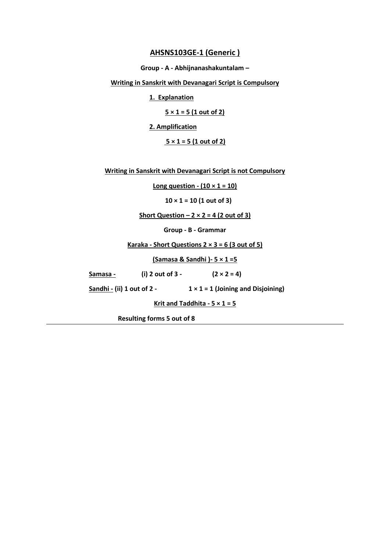### **AHSNS103GE-1 (Generic )**

**Group - A - Abhijnanashakuntalam –**

**Writing in Sanskrit with Devanagari Script is Compulsory**

**1. Explanation**

**5 × 1 = 5 (1 out of 2)** 

**2. Amplification**

**5 × 1 = 5 (1 out of 2)** 

**Writing in Sanskrit with Devanagari Script is not Compulsory**

**Long question -**  $(10 \times 1 = 10)$ 

**10 × 1 = 10 (1 out of 3)**

**Short Question – 2 × 2 = 4 (2 out of 3)**

**Group - B - Grammar**

**Karaka - Short Questions 2 × 3 = 6 (3 out of 5)**

**(Samasa & Sandhi )- 5 × 1 =5**

| Samasa - | (i) 2 out of $3 -$ | $(2 \times 2 = 4)$ |
|----------|--------------------|--------------------|
|          |                    |                    |

**Sandhi - (ii) 1 out of 2 - 1 × 1 = 1 (Joining and Disjoining)**

**Krit and Taddhita -**  $5 \times 1 = 5$ 

**Resulting forms 5 out of 8**